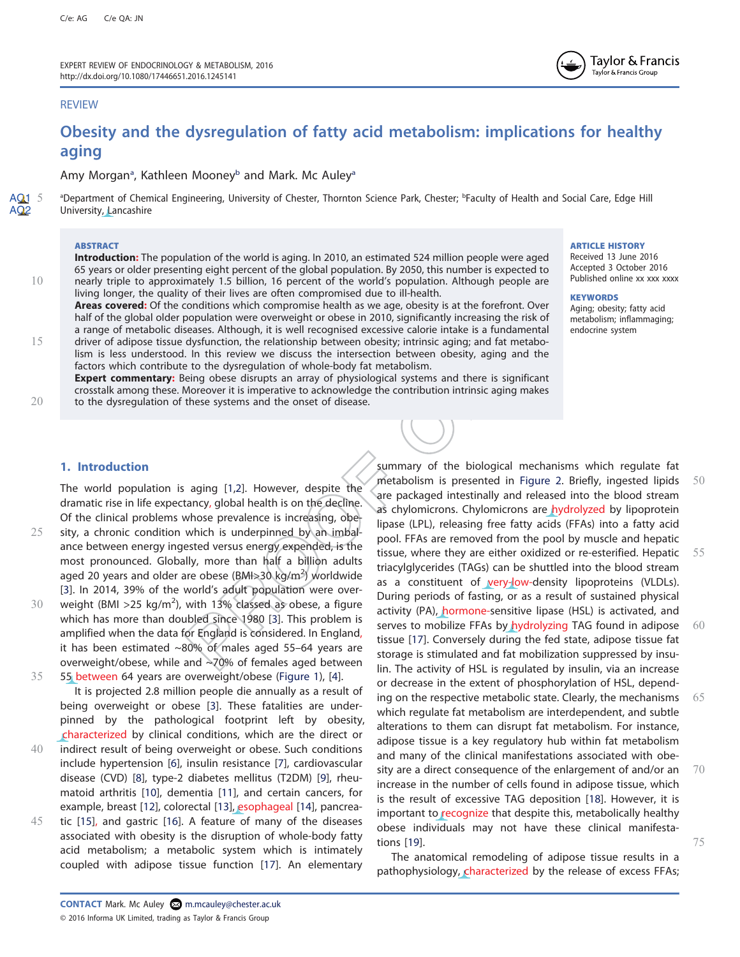# REVIEW

# Obesity and the dysregulation of fatty acid metabolism: implications for healthy aging

Amy Morgan<sup>a</sup>, Kathleen Mooney<sup>b</sup> and Mark. Mc Auley<sup>a</sup>

AQ1 5 aDepartment of Chemical Engineering, University of Chester, Thornton Science Park, Chester; **PFaculty of Health and Social Care, Edge Hill** AQ<sub>2</sub> University, Lancashire AQ1 5

## **ABSTRACT**

Introduction: The population of the world is aging. In 2010, an estimated 524 million people were aged 65 years or older presenting eight percent of the global population. By 2050, this number is expected to 10 nearly triple to approximately 1.5 billion, 16 percent of the world's population. Although people are living longer, the quality of their lives are often compromised due to ill-health.

Areas covered: Of the conditions which compromise health as we age, obesity is at the forefront. Over half of the global older population were overweight or obese in 2010, significantly increasing the risk of a range of metabolic diseases. Although, it is well recognised excessive calorie intake is a fundamental 15 driver of adipose tissue dysfunction, the relationship between obesity; intrinsic aging; and fat metabolism is less understood. In this review we discuss the intersection between obesity, aging and the factors which contribute to the dysregulation of whole-body fat metabolism.

Expert commentary: Being obese disrupts an array of physiological systems and there is significant crosstalk among these. Moreover it is imperative to acknowledge the contribution intrinsic aging makes 20 to the dysregulation of these systems and the onset of disease.

#### ARTICLE HISTORY

Received 13 June 2016 Accepted 3 October 2016 Published online xx xxx xxxx

Taylor & Francis Taylor & Francis Group

#### **KEYWORDS**

#### Aging; obesity; fatty acid metabolism; inflammaging; endocrine system

1. Introduction

The world population is aging [1,2]. However, despite the dramatic rise in life expectancy, global health is on the decline. Of the clinical problems whose prevalence is increasing, obe-25 sity, a chronic condition which is underpinned by an imbalance between energy ingested versus energy expended, is the most pronounced. Globally, more than half a billion adults aged 20 years and older are obese (BMI>30 kg/m<sup>2</sup>) worldwide

[3]. In 2014, 39% of the world's adult population were over-30 weight (BMI > 25 kg/m<sup>2</sup>), with 13% classed as obese, a figure which has more than doubled since 1980 [3]. This problem is amplified when the data for England is considered. In England, it has been estimated ~80% of males aged 55–64 years are overweight/obese, while and ~70% of females aged between 35 55 between 64 years are overweight/obese (Figure 1), [4].

It is projected 2.8 million people die annually as a result of being overweight or obese [3]. These fatalities are underpinned by the pathological footprint left by obesity, characterized by clinical conditions, which are the direct or 40 indirect result of being overweight or obese. Such conditions include hypertension [6], insulin resistance [7], cardiovascular

- disease (CVD) [8], type-2 diabetes mellitus (T2DM) [9], rheumatoid arthritis [10], dementia [11], and certain cancers, for example, breast [12], colorectal [13], esophageal [14], pancrea-45 tic [15], and gastric [16]. A feature of many of the diseases
- associated with obesity is the disruption of whole-body fatty acid metabolism; a metabolic system which is intimately coupled with adipose tissue function [17]. An elementary

summary of the biological mechanisms which regulate fat metabolism is presented in Figure 2. Briefly, ingested lipids  $50$ are packaged intestinally and released into the blood stream as chylomicrons. Chylomicrons are hydrolyzed by lipoprotein lipase (LPL), releasing free fatty acids (FFAs) into a fatty acid pool. FFAs are removed from the pool by muscle and hepatic tissue, where they are either oxidized or re-esterified. Hepatic  $55$ triacylglycerides (TAGs) can be shuttled into the blood stream as a constituent of very-low-density lipoproteins (VLDLs). During periods of fasting, or as a result of sustained physical activity (PA), hormone-sensitive lipase (HSL) is activated, and serves to mobilize FFAs by hydrolyzing TAG found in adipose 60 tissue [17]. Conversely during the fed state, adipose tissue fat storage is stimulated and fat mobilization suppressed by insulin. The activity of HSL is regulated by insulin, via an increase or decrease in the extent of phosphorylation of HSL, depending on the respective metabolic state. Clearly, the mechanisms  $65$ which regulate fat metabolism are interdependent, and subtle alterations to them can disrupt fat metabolism. For instance, adipose tissue is a key regulatory hub within fat metabolism and many of the clinical manifestations associated with obesity are a direct consequence of the enlargement of and/or an 70 increase in the number of cells found in adipose tissue, which is the result of excessive TAG deposition [18]. However, it is important to recognize that despite this, metabolically healthy obese individuals may not have these clinical manifestations [19]. 75

The anatomical remodeling of adipose tissue results in a pathophysiology, characterized by the release of excess FFAs;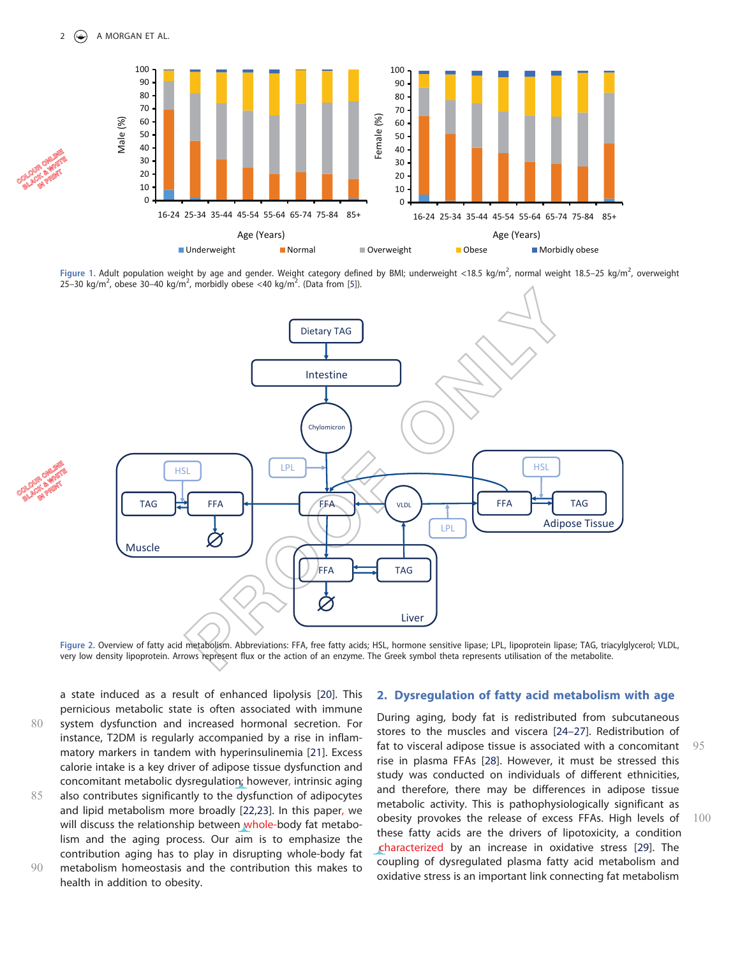

Figure 1. Adult population weight by age and gender. Weight category defined by BMI; underweight <18.5 kg/m<sup>2</sup>, normal weight 18.5–25 kg/m<sup>2</sup>, overweight<br>25–30 kg/m<sup>2</sup> obese 30–40 kg/m<sup>2</sup> morbidly obese <40 kg/m<sup>2</sup> (Data f  $25-30$  kg/m<sup>2</sup>, obese 30-40 kg/m<sup>2</sup>, morbidly obese <40 kg/m<sup>2</sup>. (Data from [5]).



Figure 2. Overview of fatty acid metabolism. Abbreviations: FFA, free fatty acids; HSL, hormone sensitive lipase; LPL, lipoprotein lipase; TAG, triacylglycerol; VLDL, very low density lipoprotein. Arrows represent flux or the action of an enzyme. The Greek symbol theta represents utilisation of the metabolite.

a state induced as a result of enhanced lipolysis [20]. This pernicious metabolic state is often associated with immune 80 system dysfunction and increased hormonal secretion. For instance, T2DM is regularly accompanied by a rise in inflammatory markers in tandem with hyperinsulinemia [21]. Excess calorie intake is a key driver of adipose tissue dysfunction and concomitant metabolic dysregulation; however, intrinsic aging

85 also contributes significantly to the dysfunction of adipocytes and lipid metabolism more broadly [22,23]. In this paper, we will discuss the relationship between whole-body fat metabolism and the aging process. Our aim is to emphasize the contribution aging has to play in disrupting whole-body fat 90 metabolism homeostasis and the contribution this makes to health in addition to obesity.

# 2. Dysregulation of fatty acid metabolism with age

During aging, body fat is redistributed from subcutaneous stores to the muscles and viscera [24–27]. Redistribution of fat to visceral adipose tissue is associated with a concomitant 95 rise in plasma FFAs [28]. However, it must be stressed this study was conducted on individuals of different ethnicities, and therefore, there may be differences in adipose tissue metabolic activity. This is pathophysiologically significant as obesity provokes the release of excess FFAs. High levels of  $100$ these fatty acids are the drivers of lipotoxicity, a condition characterized by an increase in oxidative stress [29]. The ccoupling of dysregulated plasma fatty acid metabolism and oxidative stress is an important link connecting fat metabolism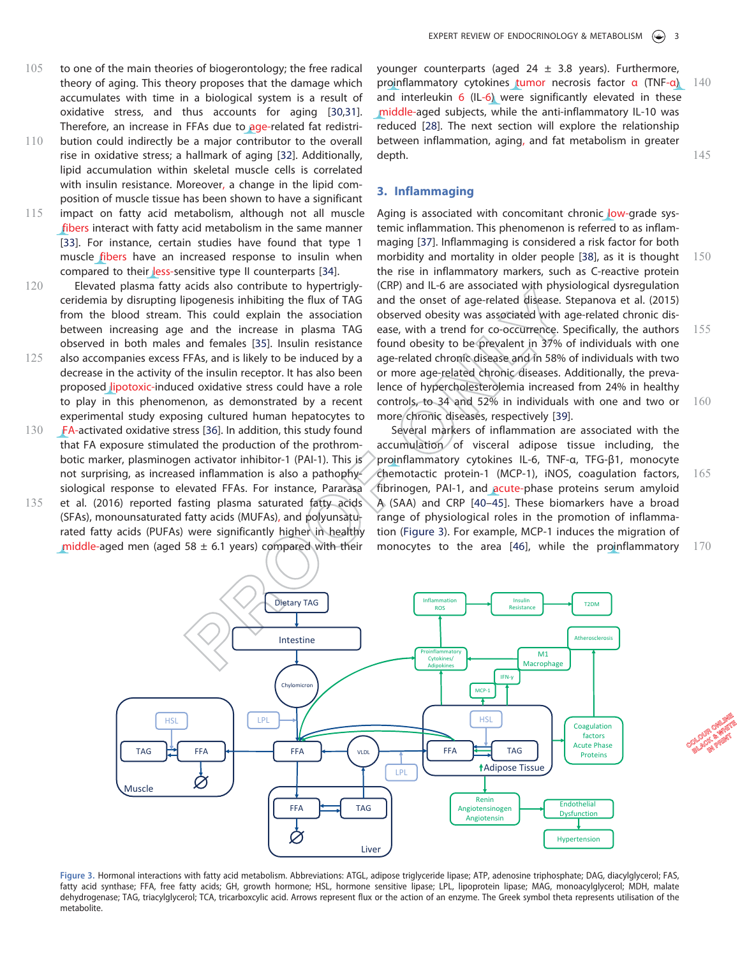- 105 to one of the main theories of biogerontology; the free radical theory of aging. This theory proposes that the damage which accumulates with time in a biological system is a result of oxidative stress, and thus accounts for aging [30,31]. Therefore, an increase in FFAs due to age-related fat redistri-
- 110 bution could indirectly be a major contributor to the overall rise in oxidative stress; a hallmark of aging [32]. Additionally, lipid accumulation within skeletal muscle cells is correlated with insulin resistance. Moreover, a change in the lipid composition of muscle tissue has been shown to have a significant
- 115 impact on fatty acid metabolism, although not all muscle fibers interact with fatty acid metabolism in the same manner [33]. For instance, certain studies have found that type 1 muscle fibers have an increased response to insulin when compared to their less-sensitive type II counterparts [34].
- 120 Elevated plasma fatty acids also contribute to hypertriglyceridemia by disrupting lipogenesis inhibiting the flux of TAG from the blood stream. This could explain the association between increasing age and the increase in plasma TAG observed in both males and females [35]. Insulin resistance
- 125 also accompanies excess FFAs, and is likely to be induced by a decrease in the activity of the insulin receptor. It has also been proposed lipotoxic-induced oxidative stress could have a role to play in this phenomenon, as demonstrated by a recent experimental study exposing cultured human hepatocytes to
- 130 FA-activated oxidative stress [36]. In addition, this study found that FA exposure stimulated the production of the prothrombotic marker, plasminogen activator inhibitor-1 (PAI-1). This is not surprising, as increased inflammation is also a pathophysiological response to elevated FFAs. For instance, Pararasa
- 135 et al. (2016) reported fasting plasma saturated fatty acids (SFAs), monounsaturated fatty acids (MUFAs), and polyunsaturated fatty acids (PUFAs) were significantly higher in healthy middle-aged men (aged 58  $\pm$  6.1 years) compared with their

younger counterparts (aged  $24 \pm 3.8$  years). Furthermore, proinflammatory cytokines tumor necrosis factor α (TNF-α) 140 and interleukin 6 (IL-6) were significantly elevated in these middle-aged subjects, while the anti-inflammatory IL-10 was m reduced [28]. The next section will explore the relationship between inflammation, aging, and fat metabolism in greater depth. The state of the state of the state of the state of the state of the state of the state of the state of the state of the state of the state of the state of the state of the state of the state of the state of the sta

## 3. Inflammaging

Aging is associated with concomitant chronic low-grade systemic inflammation. This phenomenon is referred to as inflammaging [37]. Inflammaging is considered a risk factor for both morbidity and mortality in older people [38], as it is thought 150 the rise in inflammatory markers, such as C-reactive protein (CRP) and IL-6 are associated with physiological dysregulation and the onset of age-related disease. Stepanova et al. (2015) observed obesity was associated with age-related chronic disease, with a trend for co-occurrence. Specifically, the authors 155 found obesity to be prevalent in 37% of individuals with one age-related chronic disease and in 58% of individuals with two or more age-related chronic diseases. Additionally, the prevalence of hypercholesterolemia increased from 24% in healthy controls, to 34 and 52% in individuals with one and two or 160 more chronic diseases, respectively [39].

Several markers of inflammation are associated with the accumulation of visceral adipose tissue including, the proinflammatory cytokines IL-6, TNF-α, TFG-β1, monocyte chemotactic protein-1 (MCP-1), iNOS, coagulation factors,  $165$ fibrinogen, PAI-1, and acute-phase proteins serum amyloid A (SAA) and CRP [40–45]. These biomarkers have a broad range of physiological roles in the promotion of inflammation (Figure 3). For example, MCP-1 induces the migration of monocytes to the area  $[46]$ , while the proinflammatory  $170$ 



Figure 3. Hormonal interactions with fatty acid metabolism. Abbreviations: ATGL, adipose triglyceride lipase; ATP, adenosine triphosphate; DAG, diacylglycerol; FAS, fatty acid synthase; FFA, free fatty acids; GH, growth hormone; HSL, hormone sensitive lipase; LPL, lipoprotein lipase; MAG, monoacylglycerol; MDH, malate dehydrogenase; TAG, triacylglycerol; TCA, tricarboxcylic acid. Arrows represent flux or the action of an enzyme. The Greek symbol theta represents utilisation of the metabolite.

**BLACK BARRIET**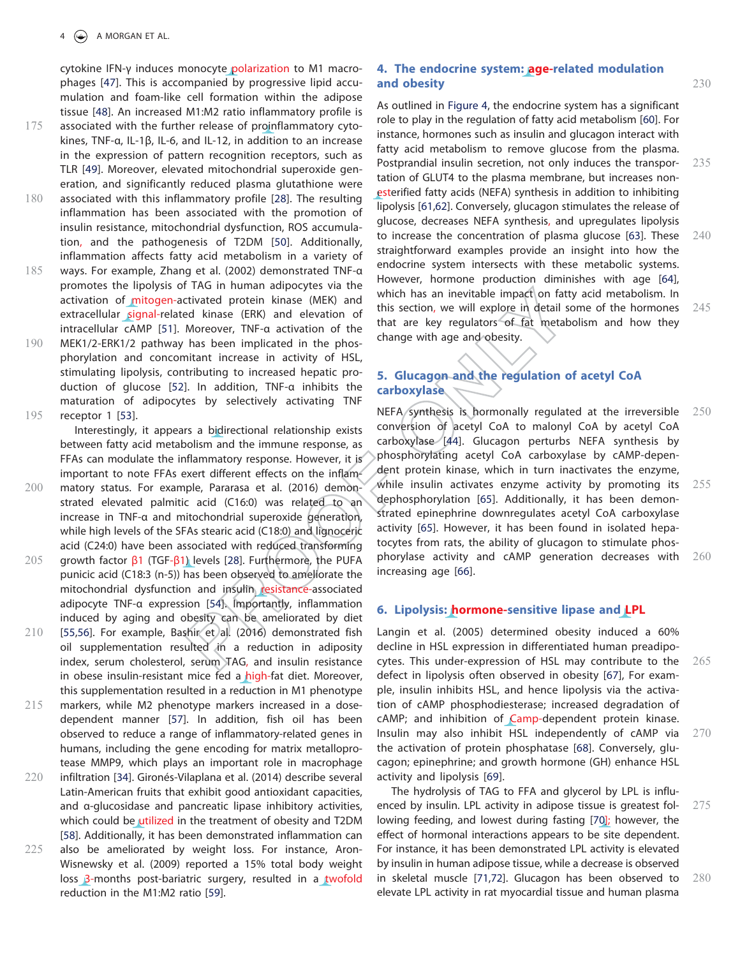cytokine IFN-γ induces monocyte polarization to M1 macrophages [47]. This is accompanied by progressive lipid accumulation and foam-like cell formation within the adipose tissue [48]. An increased M1:M2 ratio inflammatory profile is 175 associated with the further release of proinflammatory cyto-

kines, TNF-α, IL-1β, IL-6, and IL-12, in addition to an increase in the expression of pattern recognition receptors, such as TLR [49]. Moreover, elevated mitochondrial superoxide generation, and significantly reduced plasma glutathione were 180 associated with this inflammatory profile [28]. The resulting

- inflammation has been associated with the promotion of insulin resistance, mitochondrial dysfunction, ROS accumulation, and the pathogenesis of T2DM [50]. Additionally, inflammation affects fatty acid metabolism in a variety of
- 185 ways. For example, Zhang et al. (2002) demonstrated TNF-α promotes the lipolysis of TAG in human adipocytes via the activation of mitogen-activated protein kinase (MEK) and extracellular signal-related kinase (ERK) and elevation of intracellular cAMP [51]. Moreover, TNF-α activation of the
- 190 MEK1/2-ERK1/2 pathway has been implicated in the phosphorylation and concomitant increase in activity of HSL, stimulating lipolysis, contributing to increased hepatic production of glucose [52]. In addition, TNF-α inhibits the maturation of adipocytes by selectively activating TNF 195 receptor 1 [53].

Interestingly, it appears a bidirectional relationship exists between fatty acid metabolism and the immune response, as FFAs can modulate the inflammatory response. However, it is important to note FFAs exert different effects on the inflam-

- 200 matory status. For example, Pararasa et al. (2016) demonstrated elevated palmitic acid (C16:0) was related to an increase in TNF-α and mitochondrial superoxide generation, while high levels of the SFAs stearic acid (C18:0) and lignoceric acid (C24:0) have been associated with reduced transforming 205 growth factor β1 (TGF-β1) levels [28]. Furthermore, the PUFA punicic acid (C18:3 (n-5)) has been observed to ameliorate the mitochondrial dysfunction and insulin resistance-associated
- adipocyte TNF-α expression [54]. Importantly, inflammation induced by aging and obesity can be ameliorated by diet  $210$  [55,56]. For example, Bashir et al. (2016) demonstrated fish oil supplementation resulted in a reduction in adiposity index, serum cholesterol, serum TAG, and insulin resistance in obese insulin-resistant mice fed a high-fat diet. Moreover, this supplementation resulted in a reduction in M1 phenotype
- 215 markers, while M2 phenotype markers increased in a dosedependent manner [57]. In addition, fish oil has been observed to reduce a range of inflammatory-related genes in humans, including the gene encoding for matrix metalloprotease MMP9, which plays an important role in macrophage
- 220 infiltration [34]. Gironés-Vilaplana et al. (2014) describe several Latin-American fruits that exhibit good antioxidant capacities, and α-glucosidase and pancreatic lipase inhibitory activities, which could be utilized in the treatment of obesity and T2DM [58]. Additionally, it has been demonstrated inflammation can 225 also be ameliorated by weight loss. For instance, Aron-
- Wisnewsky et al. (2009) reported a 15% total body weight loss 3-months post-bariatric surgery, resulted in a twofold reduction in the M1:M2 ratio [59].

# 4. The endocrine system: age-related modulation and obesity and  $230$

As outlined in Figure 4, the endocrine system has a significant role to play in the regulation of fatty acid metabolism [60]. For instance, hormones such as insulin and glucagon interact with fatty acid metabolism to remove glucose from the plasma. Postprandial insulin secretion, not only induces the transpor- 235 tation of GLUT4 to the plasma membrane, but increases nonesterified fatty acids (NEFA) synthesis in addition to inhibiting lipolysis [61,62]. Conversely, glucagon stimulates the release of glucose, decreases NEFA synthesis, and upregulates lipolysis to increase the concentration of plasma glucose  $[63]$ . These  $240$ straightforward examples provide an insight into how the endocrine system intersects with these metabolic systems. However, hormone production diminishes with age [64], which has an inevitable impact on fatty acid metabolism. In this section, we will explore in detail some of the hormones  $245$ that are key regulators of fat metabolism and how they change with age and obesity.

# 5. Glucagon and the regulation of acetyl CoA carboxylase

NEFA synthesis is hormonally regulated at the irreversible 250 conversion of acetyl CoA to malonyl CoA by acetyl CoA carboxylase [44]. Glucagon perturbs NEFA synthesis by phosphorylating acetyl CoA carboxylase by cAMP-dependent protein kinase, which in turn inactivates the enzyme, while insulin activates enzyme activity by promoting its  $255$ dephosphorylation [65]. Additionally, it has been demonstrated epinephrine downregulates acetyl CoA carboxylase activity [65]. However, it has been found in isolated hepatocytes from rats, the ability of glucagon to stimulate phosphorylase activity and cAMP generation decreases with 260 increasing age [66].

#### 6. Lipolysis: hormone-sensitive lipase and LPL

Langin et al. (2005) determined obesity induced a 60% decline in HSL expression in differentiated human preadipocytes. This under-expression of HSL may contribute to the 265 defect in lipolysis often observed in obesity [67], For example, insulin inhibits HSL, and hence lipolysis via the activation of cAMP phosphodiesterase; increased degradation of cAMP; and inhibition of Camp-dependent protein kinase. Insulin may also inhibit HSL independently of cAMP via 270 the activation of protein phosphatase [68]. Conversely, glucagon; epinephrine; and growth hormone (GH) enhance HSL activity and lipolysis [69].

The hydrolysis of TAG to FFA and glycerol by LPL is influenced by insulin. LPL activity in adipose tissue is greatest fol-  $275$ lowing feeding, and lowest during fasting [70]; however, the effect of hormonal interactions appears to be site dependent. For instance, it has been demonstrated LPL activity is elevated by insulin in human adipose tissue, while a decrease is observed in skeletal muscle [71,72]. Glucagon has been observed to 280 elevate LPL activity in rat myocardial tissue and human plasma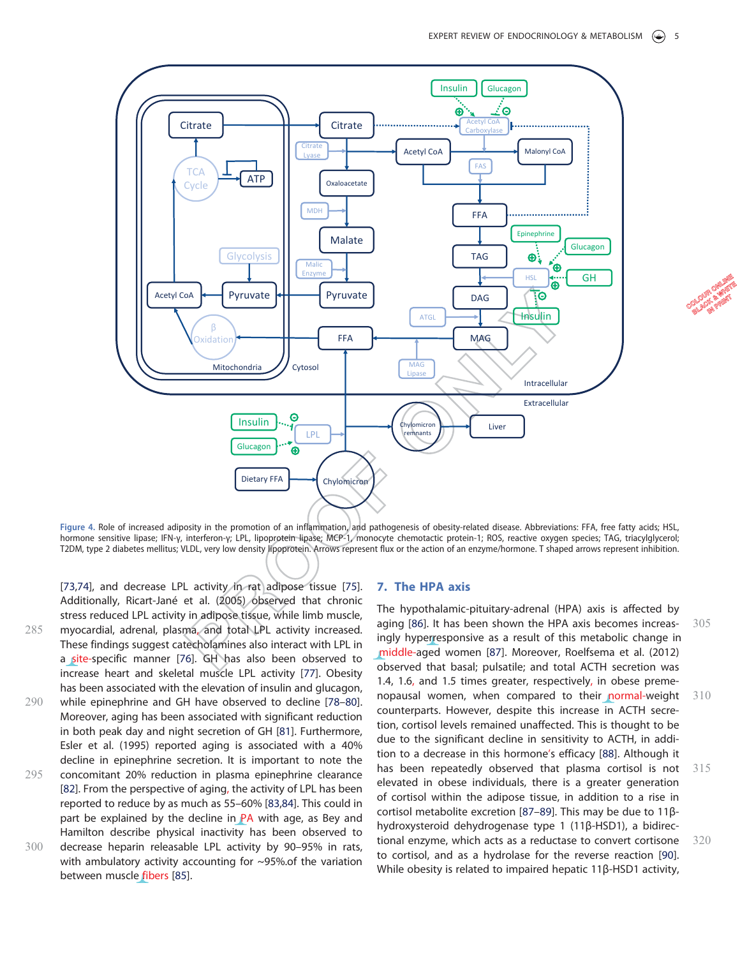

Figure 4. Role of increased adiposity in the promotion of an inflammation, and pathogenesis of obesity-related disease. Abbreviations: FFA, free fatty acids; HSL, hormone sensitive lipase; IFN-γ, interferon-γ; LPL, lipoprotein lipase; MCP-1, monocyte chemotactic protein-1; ROS, reactive oxygen species; TAG, triacylglycerol; T2DM, type 2 diabetes mellitus; VLDL, very low density lipoprotein. Arrows represent flux or the action of an enzyme/hormone. T shaped arrows represent inhibition.

[73,74], and decrease LPL activity in rat adipose tissue [75]. Additionally, Ricart-Jané et al. (2005) observed that chronic stress reduced LPL activity in adipose tissue, while limb muscle, 285 myocardial, adrenal, plasma, and total LPL activity increased. These findings suggest catecholamines also interact with LPL in a site-specific manner [76]. GH has also been observed to increase heart and skeletal muscle LPL activity [77]. Obesity has been associated with the elevation of insulin and glucagon, 290 while epinephrine and GH have observed to decline [78–80]. Moreover, aging has been associated with significant reduction in both peak day and night secretion of GH [81]. Furthermore, Esler et al. (1995) reported aging is associated with a 40% decline in epinephrine secretion. It is important to note the 295 concomitant 20% reduction in plasma epinephrine clearance [82]. From the perspective of aging, the activity of LPL has been reported to reduce by as much as 55–60% [83,84]. This could in part be explained by the decline in PA with age, as Bey and Hamilton describe physical inactivity has been observed to 300 decrease heparin releasable LPL activity by 90–95% in rats, with ambulatory activity accounting for ~95%.of the variation between muscle fibers [85].

#### 7. The HPA axis

The hypothalamic-pituitary-adrenal (HPA) axis is affected by aging [86]. It has been shown the HPA axis becomes increas- 305 ingly hyperresponsive as a result of this metabolic change in middle-aged women [87]. Moreover, Roelfsema et al. (2012) m observed that basal; pulsatile; and total ACTH secretion was 1.4, 1.6, and 1.5 times greater, respectively, in obese premenopausal women, when compared to their normal-weight 310 counterparts. However, despite this increase in ACTH secretion, cortisol levels remained unaffected. This is thought to be due to the significant decline in sensitivity to ACTH, in addition to a decrease in this hormone's efficacy [88]. Although it has been repeatedly observed that plasma cortisol is not 315 elevated in obese individuals, there is a greater generation of cortisol within the adipose tissue, in addition to a rise in cortisol metabolite excretion [87–89]. This may be due to 11βhydroxysteroid dehydrogenase type 1 (11β-HSD1), a bidirectional enzyme, which acts as a reductase to convert cortisone 320 to cortisol, and as a hydrolase for the reverse reaction [90]. While obesity is related to impaired hepatic 11β-HSD1 activity,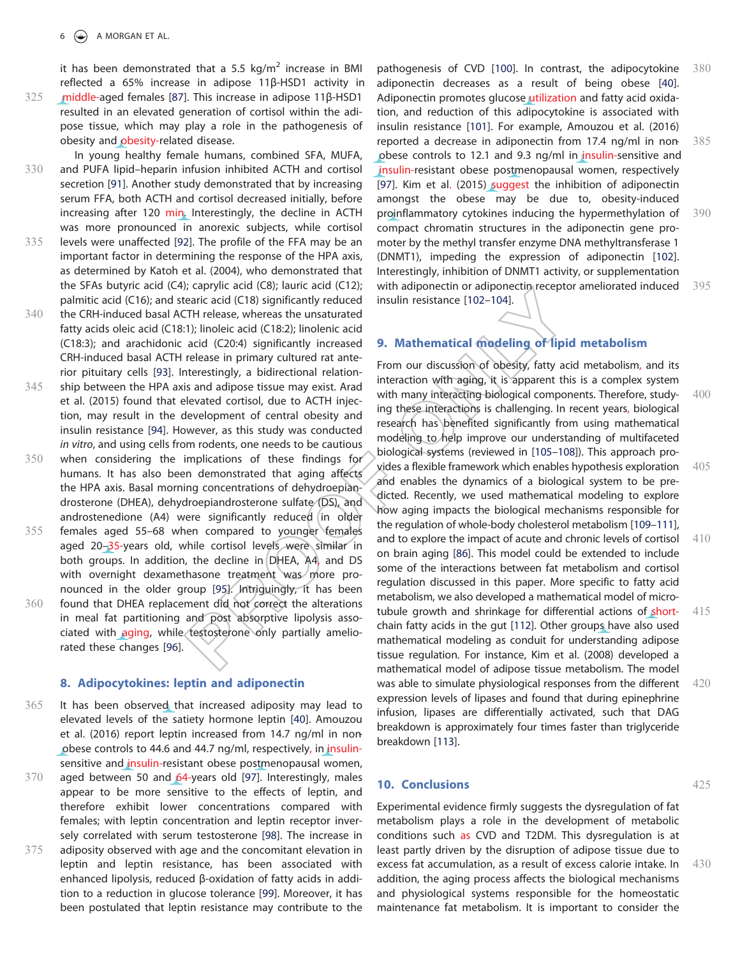it has been demonstrated that a 5.5 kg/m<sup>2</sup> increase in BMI reflected a 65% increase in adipose 11β-HSD1 activity in

- 325 middle-aged females [87]. This increase in adipose 11β-HSD1 resulted in an elevated generation of cortisol within the adipose tissue, which may play a role in the pathogenesis of obesity and obesity-related disease.
- In young healthy female humans, combined SFA, MUFA, 330 and PUFA lipid–heparin infusion inhibited ACTH and cortisol secretion [91]. Another study demonstrated that by increasing serum FFA, both ACTH and cortisol decreased initially, before increasing after 120 min. Interestingly, the decline in ACTH was more pronounced in anorexic subjects, while cortisol 335 levels were unaffected [92]. The profile of the FFA may be an important factor in determining the response of the HPA axis, as determined by Katoh et al. (2004), who demonstrated that the SFAs butyric acid (C4); caprylic acid (C8); lauric acid (C12); palmitic acid (C16); and stearic acid (C18) significantly reduced
- 340 the CRH-induced basal ACTH release, whereas the unsaturated fatty acids oleic acid (C18:1); linoleic acid (C18:2); linolenic acid (C18:3); and arachidonic acid (C20:4) significantly increased CRH-induced basal ACTH release in primary cultured rat anterior pituitary cells [93]. Interestingly, a bidirectional relation-
- 345 ship between the HPA axis and adipose tissue may exist. Arad et al. (2015) found that elevated cortisol, due to ACTH injection, may result in the development of central obesity and insulin resistance [94]. However, as this study was conducted in vitro, and using cells from rodents, one needs to be cautious
- 350 when considering the implications of these findings for humans. It has also been demonstrated that aging affects the HPA axis. Basal morning concentrations of dehydroepiandrosterone (DHEA), dehydroepiandrosterone sulfate (DS), and androstenedione (A4) were significantly reduced in older
- 355 females aged 55–68 when compared to younger females aged 20-35-years old, while cortisol levels were similar in both groups. In addition, the decline in DHEA, A4, and DS with overnight dexamethasone treatment was more pronounced in the older group [95]. Intriguingly, it has been 360 found that DHEA replacement did not correct the alterations in meal fat partitioning and post absorptive lipolysis associated with aging, while testosterone only partially ameliorated these changes [96].

#### 8. Adipocytokines: leptin and adiponectin

- 365 It has been observed that increased adiposity may lead to elevated levels of the satiety hormone leptin [40]. Amouzou et al. (2016) report leptin increased from 14.7 ng/ml in nonobese controls to 44.6 and 44.7 ng/ml, respectively, in insulinsensitive and insulin-resistant obese postmenopausal women,
- 370 aged between 50 and 64-years old [97]. Interestingly, males appear to be more sensitive to the effects of leptin, and therefore exhibit lower concentrations compared with females; with leptin concentration and leptin receptor inversely correlated with serum testosterone [98]. The increase in 375 adiposity observed with age and the concomitant elevation in leptin and leptin resistance, has been associated with enhanced lipolysis, reduced β-oxidation of fatty acids in addition to a reduction in glucose tolerance [99]. Moreover, it has been postulated that leptin resistance may contribute to the

pathogenesis of CVD [100]. In contrast, the adipocytokine 380 adiponectin decreases as a result of being obese [40]. Adiponectin promotes glucose utilization and fatty acid oxidation, and reduction of this adipocytokine is associated with insulin resistance [101]. For example, Amouzou et al. (2016) reported a decrease in adiponectin from  $17.4$  ng/ml in non  $385$ obese controls to 12.1 and 9.3 ng/ml in insulin-sensitive and insulin-resistant obese postmenopausal women, respectively [97]. Kim et al. (2015) suggest the inhibition of adiponectin amongst the obese may be due to, obesity-induced proinflammatory cytokines inducing the hypermethylation of 390 compact chromatin structures in the adiponectin gene promoter by the methyl transfer enzyme DNA methyltransferase 1 (DNMT1), impeding the expression of adiponectin [102]. Interestingly, inhibition of DNMT1 activity, or supplementation with adiponectin or adiponectin receptor ameliorated induced  $395$ insulin resistance [102–104].

# 9. Mathematical modeling of lipid metabolism

From our discussion of obesity, fatty acid metabolism, and its interaction with aging, it is apparent this is a complex system with many interacting biological components. Therefore, study- 400 ing these interactions is challenging. In recent years, biological research has benefited significantly from using mathematical modeling to help improve our understanding of multifaceted biological systems (reviewed in [105–108]). This approach provides a flexible framework which enables hypothesis exploration 405 and enables the dynamics of a biological system to be predicted. Recently, we used mathematical modeling to explore how aging impacts the biological mechanisms responsible for the regulation of whole-body cholesterol metabolism [109–111], and to explore the impact of acute and chronic levels of cortisol 410 on brain aging [86]. This model could be extended to include some of the interactions between fat metabolism and cortisol regulation discussed in this paper. More specific to fatty acid metabolism, we also developed a mathematical model of microtubule growth and shrinkage for differential actions of short- 415 chain fatty acids in the gut [112]. Other groups have also used mathematical modeling as conduit for understanding adipose tissue regulation. For instance, Kim et al. (2008) developed a mathematical model of adipose tissue metabolism. The model was able to simulate physiological responses from the different  $420$ expression levels of lipases and found that during epinephrine infusion, lipases are differentially activated, such that DAG breakdown is approximately four times faster than triglyceride breakdown [113].

### **10. Conclusions** 425

Experimental evidence firmly suggests the dysregulation of fat metabolism plays a role in the development of metabolic conditions such as CVD and T2DM. This dysregulation is at least partly driven by the disruption of adipose tissue due to excess fat accumulation, as a result of excess calorie intake. In 430 addition, the aging process affects the biological mechanisms and physiological systems responsible for the homeostatic maintenance fat metabolism. It is important to consider the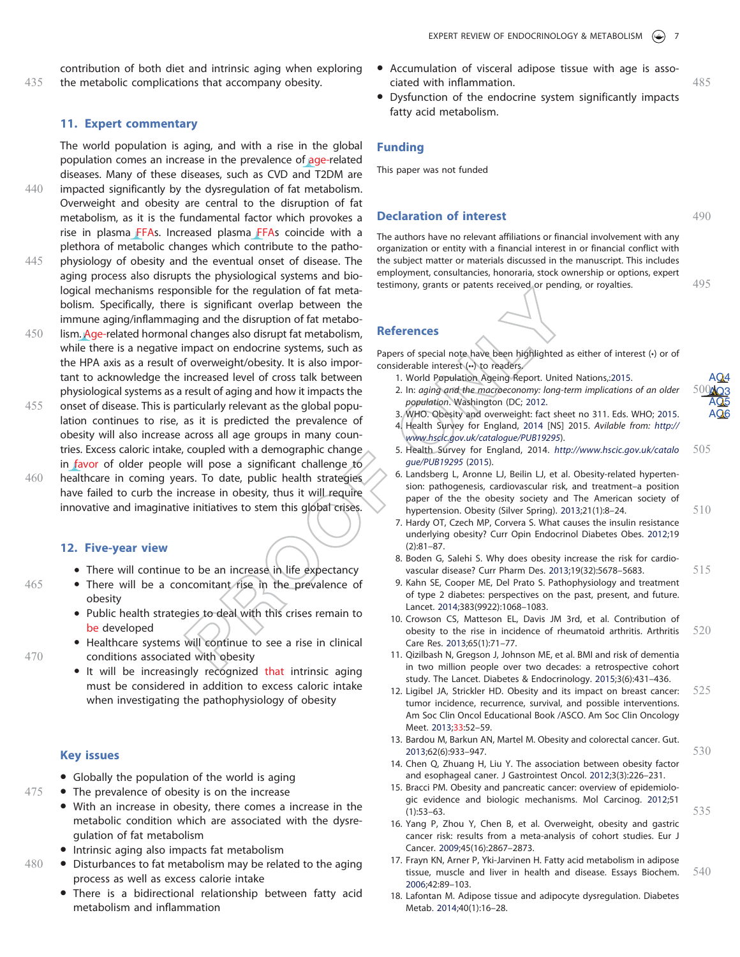contribution of both diet and intrinsic aging when exploring 435 the metabolic complications that accompany obesity.

#### 11. Expert commentary

The world population is aging, and with a rise in the global population comes an increase in the prevalence of age-related diseases. Many of these diseases, such as CVD and T2DM are 440 impacted significantly by the dysregulation of fat metabolism. Overweight and obesity are central to the disruption of fat

- metabolism, as it is the fundamental factor which provokes a rise in plasma FFAs. Increased plasma FFAs coincide with a plethora of metabolic changes which contribute to the patho-445 physiology of obesity and the eventual onset of disease. The
- aging process also disrupts the physiological systems and biological mechanisms responsible for the regulation of fat metabolism. Specifically, there is significant overlap between the immune aging/inflammaging and the disruption of fat metabo-
- 450 lism. Age-related hormonal changes also disrupt fat metabolism, while there is a negative impact on endocrine systems, such as the HPA axis as a result of overweight/obesity. It is also important to acknowledge the increased level of cross talk between physiological systems as a result of aging and how it impacts the
- 455 onset of disease. This is particularly relevant as the global population continues to rise, as it is predicted the prevalence of obesity will also increase across all age groups in many countries. Excess caloric intake, coupled with a demographic change in favor of older people will pose a significant challenge to
- 460 healthcare in coming years. To date, public health strategies have failed to curb the increase in obesity, thus it will require innovative and imaginative initiatives to stem this global crises.

#### 12. Five-year view

- There will continue to be an increase in life expectancy
- 465 There will be a concomitant rise in the prevalence of obesity
	- Public health strategies to deal with this crises remain to be developed
- Healthcare systems will continue to see a rise in clinical 470 conditions associated with obesity
	- It will be increasingly recognized that intrinsic aging must be considered in addition to excess caloric intake when investigating the pathophysiology of obesity

#### Key issues

- Globally the population of the world is aging
- $475$   $\bullet$  The prevalence of obesity is on the increase
	- With an increase in obesity, there comes a increase in the metabolic condition which are associated with the dysregulation of fat metabolism
	- Intrinsic aging also impacts fat metabolism
- $480$   $\bullet$  Disturbances to fat metabolism may be related to the aging process as well as excess calorie intake
	- There is a bidirectional relationship between fatty acid metabolism and inflammation
- Accumulation of visceral adipose tissue with age is associated with inflammation. 485
- Dysfunction of the endocrine system significantly impacts fatty acid metabolism.

#### Funding

This paper was not funded

#### **Declaration of interest** 490

The authors have no relevant affiliations or financial involvement with any organization or entity with a financial interest in or financial conflict with the subject matter or materials discussed in the manuscript. This includes employment, consultancies, honoraria, stock ownership or options, expert testimony, grants or patents received or pending, or royalties. 495 **age-related**<br>
intendibility are<br>
intendibility are This paper was not funded<br>
the provokes a<br>
Declaration of interest<br>
ide with a<br>
intendibility are not related interest in or financial involvement with any<br>
the patho-<br>

# References

Papers of special note have been highlighted as either of interest (•) or of considerable interest (••) to readers.

- 1. World Population Ageing Report. United Nations, 2015. AQ4
- 2. In: aging and the macroeconomy: long-term implications of an older population. Washington (DC; 2012.
- 3. WHO. Obesity and overweight: fact sheet no 311. Eds. WHO; 2015. AQ6 4. Health Survey for England, 2014 [NS] 2015. Avilable from: http:// www.hscic.gov.uk/catalogue/PUB19295).
- 5. Health Survey for England, 2014. http://www.hscic.gov.uk/catalo 505 gue/PUB19295 (2015).
- 6. Landsberg L, Aronne LJ, Beilin LJ, et al. Obesity-related hypertension: pathogenesis, cardiovascular risk, and treatment–a position paper of the the obesity society and The American society of hypertension. Obesity (Silver Spring). 2013;21(1):8–24. 510
- 7. Hardy OT, Czech MP, Corvera S. What causes the insulin resistance underlying obesity? Curr Opin Endocrinol Diabetes Obes. 2012;19 (2):81–87.
- 8. Boden G, Salehi S. Why does obesity increase the risk for cardiovascular disease? Curr Pharm Des. 2013;19(32):5678-5683. 515
- 9. Kahn SE, Cooper ME, Del Prato S. Pathophysiology and treatment of type 2 diabetes: perspectives on the past, present, and future. Lancet. 2014;383(9922):1068–1083.
- 10. Crowson CS, Matteson EL, Davis JM 3rd, et al. Contribution of obesity to the rise in incidence of rheumatoid arthritis. Arthritis 520 Care Res. 2013;65(1):71–77.
- 11. Qizilbash N, Gregson J, Johnson ME, et al. BMI and risk of dementia in two million people over two decades: a retrospective cohort study. The Lancet. Diabetes & Endocrinology. 2015;3(6):431–436.
- 12. Ligibel JA, Strickler HD. Obesity and its impact on breast cancer:  $525$ tumor incidence, recurrence, survival, and possible interventions. Am Soc Clin Oncol Educational Book /ASCO. Am Soc Clin Oncology Meet. 2013;33:52–59.
- 13. Bardou M, Barkun AN, Martel M. Obesity and colorectal cancer. Gut. 2013;62(6):933–947. 530
- 14. Chen Q, Zhuang H, Liu Y. The association between obesity factor and esophageal caner. J Gastrointest Oncol. 2012;3(3):226–231.
- 15. Bracci PM. Obesity and pancreatic cancer: overview of epidemiologic evidence and biologic mechanisms. Mol Carcinog. 2012;51  $(1):$ 53–63. 535
- 16. Yang P, Zhou Y, Chen B, et al. Overweight, obesity and gastric cancer risk: results from a meta-analysis of cohort studies. Eur J Cancer. 2009;45(16):2867–2873.
- 17. Frayn KN, Arner P, Yki-Jarvinen H. Fatty acid metabolism in adipose tissue, muscle and liver in health and disease. Essays Biochem. 540 2006;42:89–103.
- 18. Lafontan M. Adipose tissue and adipocyte dysregulation. Diabetes Metab. 2014;40(1):16–28.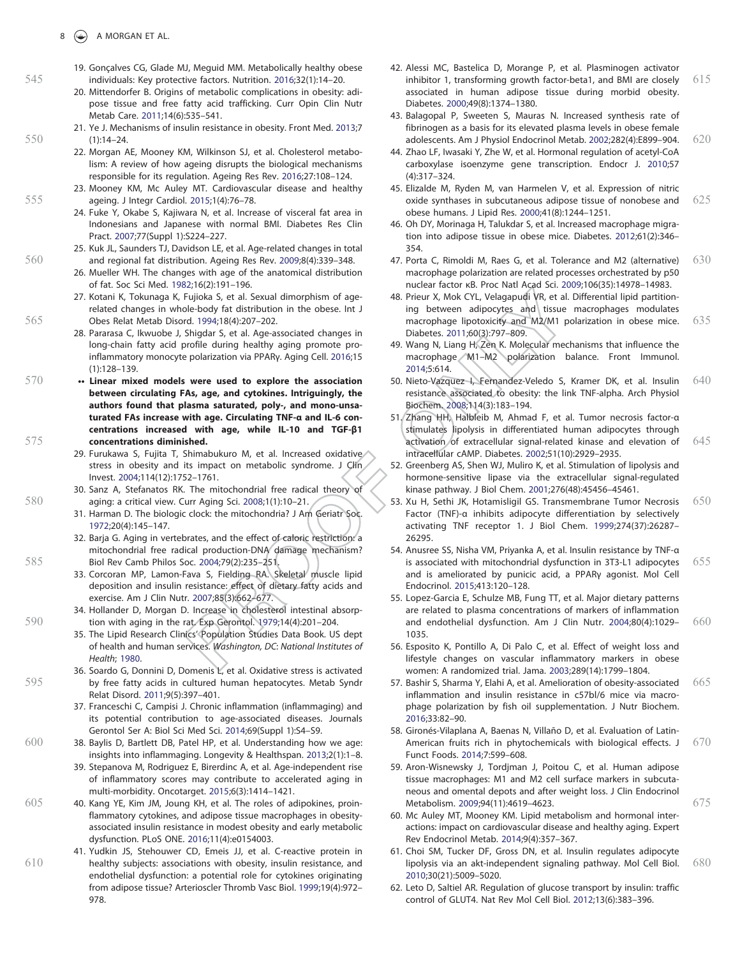- 19. Gonçalves CG, Glade MJ, Meguid MM. Metabolically healthy obese 545 individuals: Key protective factors. Nutrition. 2016;32(1):14–20.
	- 20. Mittendorfer B. Origins of metabolic complications in obesity: adipose tissue and free fatty acid trafficking. Curr Opin Clin Nutr Metab Care. 2011;14(6):535–541.
- 21. Ye J. Mechanisms of insulin resistance in obesity. Front Med. 2013;7 550 (1):14–24.
	- 22. Morgan AE, Mooney KM, Wilkinson SJ, et al. Cholesterol metabolism: A review of how ageing disrupts the biological mechanisms responsible for its regulation. Ageing Res Rev. 2016;27:108–124.
- 23. Mooney KM, Mc Auley MT. Cardiovascular disease and healthy 555 ageing. J Integr Cardiol. 2015;1(4):76–78.
	- 24. Fuke Y, Okabe S, Kajiwara N, et al. Increase of visceral fat area in Indonesians and Japanese with normal BMI. Diabetes Res Clin Pract. 2007;77(Suppl 1):S224–227.
- 25. Kuk JL, Saunders TJ, Davidson LE, et al. Age-related changes in total 560 and regional fat distribution. Ageing Res Rev. 2009;8(4):339–348.
	- 26. Mueller WH. The changes with age of the anatomical distribution of fat. Soc Sci Med. 1982;16(2):191–196.
- 27. Kotani K, Tokunaga K, Fujioka S, et al. Sexual dimorphism of agerelated changes in whole-body fat distribution in the obese. Int J 565 Obes Relat Metab Disord. 1994;18(4):207–202.
	- 28. Pararasa C, Ikwuobe J, Shigdar S, et al. Age-associated changes in long-chain fatty acid profile during healthy aging promote proinflammatory monocyte polarization via PPARγ. Aging Cell. 2016;15 (1):128–139.
- 570 •• Linear mixed models were used to explore the association between circulating FAs, age, and cytokines. Intriguingly, the authors found that plasma saturated, poly-, and mono-unsaturated FAs increase with age. Circulating TNF-α and IL-6 concentrations increased with age, while IL-10 and TGF-β1 575 concentrations diminished.
	- 29. Furukawa S, Fujita T, Shimabukuro M, et al. Increased oxidative stress in obesity and its impact on metabolic syndrome. J Clin Invest. 2004;114(12):1752–1761.
- 30. Sanz A, Stefanatos RK. The mitochondrial free radical theory of 580 aging: a critical view. Curr Aging Sci. 2008;1(1):10–21.
	- 31. Harman D. The biologic clock: the mitochondria? J Am Geriatr Soc. 1972;20(4):145–147.
- 32. Barja G. Aging in vertebrates, and the effect of caloric restriction: a mitochondrial free radical production-DNA damage mechanism? 585 Biol Rev Camb Philos Soc. 2004;79(2):235–251.
	- 33. Corcoran MP, Lamon-Fava S, Fielding RA. Skeletal muscle lipid deposition and insulin resistance: effect of dietary fatty acids and exercise. Am J Clin Nutr. 2007;85(3):662–677.
- 34. Hollander D, Morgan D. Increase in cholesterol intestinal absorp-590 tion with aging in the rat. Exp Gerontol. 1979;14(4):201–204.
	- 35. The Lipid Research Clinics' Population Studies Data Book. US dept of health and human services. Washington, DC: National Institutes of Health; 1980.
- 36. Soardo G, Donnini D, Domenis L, et al. Oxidative stress is activated 595 by free fatty acids in cultured human hepatocytes. Metab Syndr Relat Disord. 2011;9(5):397–401.
	- 37. Franceschi C, Campisi J. Chronic inflammation (inflammaging) and its potential contribution to age-associated diseases. Journals Gerontol Ser A: Biol Sci Med Sci. 2014;69(Suppl 1):S4–S9.
- 600 38. Baylis D, Bartlett DB, Patel HP, et al. Understanding how we age: insights into inflammaging. Longevity & Healthspan. 2013;2(1):1–8.
	- 39. Stepanova M, Rodriguez E, Birerdinc A, et al. Age-independent rise of inflammatory scores may contribute to accelerated aging in multi-morbidity. Oncotarget. 2015;6(3):1414–1421.
- 605 40. Kang YE, Kim JM, Joung KH, et al. The roles of adipokines, proinflammatory cytokines, and adipose tissue macrophages in obesityassociated insulin resistance in modest obesity and early metabolic dysfunction. PLoS ONE. 2016;11(4):e0154003.
- 41. Yudkin JS, Stehouwer CD, Emeis JJ, et al. C-reactive protein in 610 healthy subjects: associations with obesity, insulin resistance, and endothelial dysfunction: a potential role for cytokines originating from adipose tissue? Arterioscler Thromb Vasc Biol. 1999;19(4):972– 978.
- 42. Alessi MC, Bastelica D, Morange P, et al. Plasminogen activator inhibitor 1, transforming growth factor-beta1, and BMI are closely  $615$ associated in human adipose tissue during morbid obesity. Diabetes. 2000;49(8):1374–1380.
- 43. Balagopal P, Sweeten S, Mauras N. Increased synthesis rate of fibrinogen as a basis for its elevated plasma levels in obese female adolescents. Am J Physiol Endocrinol Metab. 2002;282(4):E899–904. 620
- 44. Zhao LF, Iwasaki Y, Zhe W, et al. Hormonal regulation of acetyl-CoA carboxylase isoenzyme gene transcription. Endocr J. 2010;57 (4):317–324.
- 45. Elizalde M, Ryden M, van Harmelen V, et al. Expression of nitric oxide synthases in subcutaneous adipose tissue of nonobese and  $625$ obese humans. J Lipid Res. 2000;41(8):1244–1251.
- 46. Oh DY, Morinaga H, Talukdar S, et al. Increased macrophage migration into adipose tissue in obese mice. Diabetes. 2012;61(2):346– 354.
- 47. Porta C, Rimoldi M, Raes G, et al. Tolerance and M2 (alternative) 630 macrophage polarization are related processes orchestrated by p50 nuclear factor κB. Proc Natl Acad Sci. 2009;106(35):14978–14983.
- 48. Prieur X, Mok CYL, Velagapudi VR, et al. Differential lipid partitioning between adipocytes and tissue macrophages modulates macrophage lipotoxicity and M2/M1 polarization in obese mice. 635 Diabetes. 2011;60(3):797–809.
- 49. Wang N, Liang H, Zen K. Molecular mechanisms that influence the macrophage M1–M2 polarization balance. Front Immunol. 2014;5:614.
- 50. Nieto-Vazquez I, Fernandez-Veledo S, Kramer DK, et al. Insulin 640 resistance associated to obesity: the link TNF-alpha. Arch Physiol Biochem. 2008;114(3):183–194.
- 51. Zhang HH, Halbleib M, Ahmad F, et al. Tumor necrosis factor-α stimulates lipolysis in differentiated human adipocytes through activation of extracellular signal-related kinase and elevation of  $645$ intracellular cAMP. Diabetes. 2002;51(10):2929–2935.
- 52. Greenberg AS, Shen WJ, Muliro K, et al. Stimulation of lipolysis and hormone-sensitive lipase via the extracellular signal-regulated kinase pathway. J Biol Chem. 2001;276(48):45456–45461.
- 53. Xu H, Sethi JK, Hotamisligil GS. Transmembrane Tumor Necrosis 650 Factor (TNF)-α inhibits adipocyte differentiation by selectively activating TNF receptor 1. J Biol Chem. 1999;274(37):26287– 26295.
- 54. Anusree SS, Nisha VM, Priyanka A, et al. Insulin resistance by TNF-α is associated with mitochondrial dysfunction in 3T3-L1 adipocytes 655 and is ameliorated by punicic acid, a PPARγ agonist. Mol Cell Endocrinol. 2015;413:120–128.
- 55. Lopez-Garcia E, Schulze MB, Fung TT, et al. Major dietary patterns are related to plasma concentrations of markers of inflammation and endothelial dysfunction. Am J Clin Nutr. 2004;80(4):1029– 660 1035.
- 56. Esposito K, Pontillo A, Di Palo C, et al. Effect of weight loss and lifestyle changes on vascular inflammatory markers in obese women: A randomized trial. Jama. 2003;289(14):1799–1804.
- 57. Bashir S, Sharma Y, Elahi A, et al. Amelioration of obesity-associated 665 inflammation and insulin resistance in c57bl/6 mice via macrophage polarization by fish oil supplementation. J Nutr Biochem. 2016;33:82–90.
- 58. Gironés-Vilaplana A, Baenas N, Villaño D, et al. Evaluation of Latin-American fruits rich in phytochemicals with biological effects. J  $670$ Funct Foods. 2014;7:599–608.
- 59. Aron-Wisnewsky J, Tordjman J, Poitou C, et al. Human adipose tissue macrophages: M1 and M2 cell surface markers in subcutaneous and omental depots and after weight loss. J Clin Endocrinol Metabolism. 2009;94(11):4619-4623. 675
- 60. Mc Auley MT, Mooney KM. Lipid metabolism and hormonal interactions: impact on cardiovascular disease and healthy aging. Expert Rev Endocrinol Metab. 2014;9(4):357–367.
- 61. Choi SM, Tucker DF, Gross DN, et al. Insulin regulates adipocyte lipolysis via an akt-independent signaling pathway. Mol Cell Biol. 680 2010;30(21):5009–5020.
- 62. Leto D, Saltiel AR. Regulation of glucose transport by insulin: traffic control of GLUT4. Nat Rev Mol Cell Biol. 2012;13(6):383–396.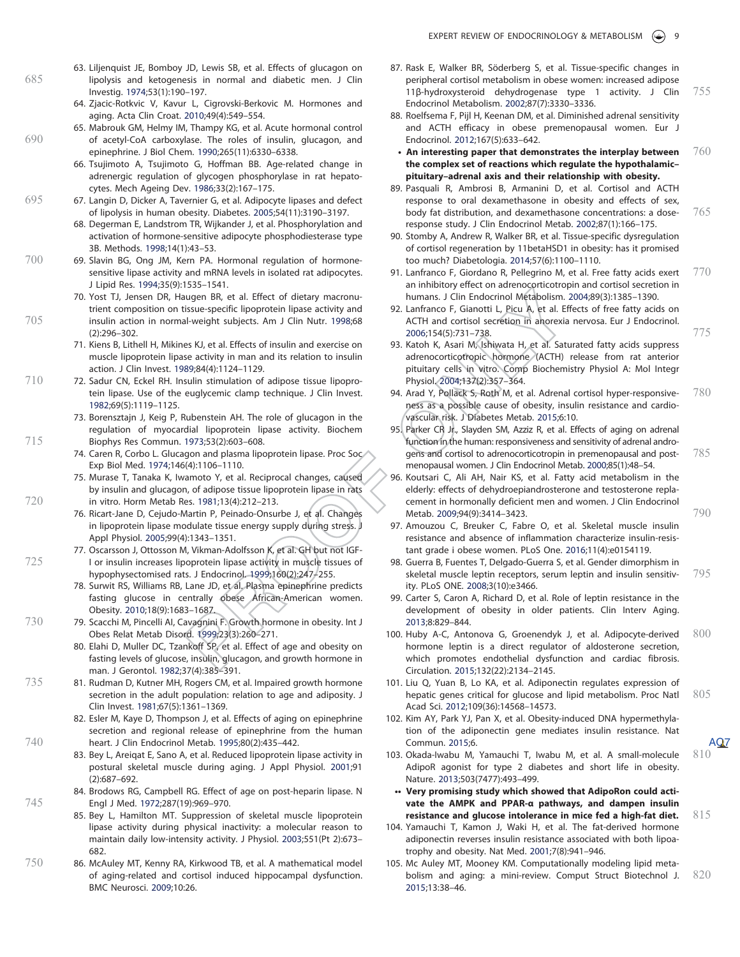- 63. Liljenquist JE, Bomboy JD, Lewis SB, et al. Effects of glucagon on 685 lipolysis and ketogenesis in normal and diabetic men. J Clin Investig. 1974;53(1):190–197.
	- 64. Zjacic-Rotkvic V, Kavur L, Cigrovski-Berkovic M. Hormones and aging. Acta Clin Croat. 2010;49(4):549–554.
- 65. Mabrouk GM, Helmy IM, Thampy KG, et al. Acute hormonal control 690 of acetyl-CoA carboxylase. The roles of insulin, glucagon, and epinephrine. J Biol Chem. 1990;265(11):6330–6338.
	- 66. Tsujimoto A, Tsujimoto G, Hoffman BB. Age-related change in adrenergic regulation of glycogen phosphorylase in rat hepatocytes. Mech Ageing Dev. 1986;33(2):167–175.
- 695 67. Langin D, Dicker A, Tavernier G, et al. Adipocyte lipases and defect of lipolysis in human obesity. Diabetes. 2005;54(11):3190–3197.
	- 68. Degerman E, Landstrom TR, Wijkander J, et al. Phosphorylation and activation of hormone-sensitive adipocyte phosphodiesterase type 3B. Methods. 1998;14(1):43–53.
- 700 69. Slavin BG, Ong JM, Kern PA. Hormonal regulation of hormonesensitive lipase activity and mRNA levels in isolated rat adipocytes. J Lipid Res. 1994;35(9):1535–1541.
- 70. Yost TJ, Jensen DR, Haugen BR, et al. Effect of dietary macronutrient composition on tissue-specific lipoprotein lipase activity and 705 insulin action in normal-weight subjects. Am J Clin Nutr. 1998;68 (2):296–302.
	- 71. Kiens B, Lithell H, Mikines KJ, et al. Effects of insulin and exercise on muscle lipoprotein lipase activity in man and its relation to insulin action. J Clin Invest. 1989;84(4):1124–1129.
- 710 72. Sadur CN, Eckel RH. Insulin stimulation of adipose tissue lipoprotein lipase. Use of the euglycemic clamp technique. J Clin Invest. 1982;69(5):1119–1125.
- 73. Borensztajn J, Keig P, Rubenstein AH. The role of glucagon in the regulation of myocardial lipoprotein lipase activity. Biochem 715 Biophys Res Commun. 1973;53(2):603–608.
	- 74. Caren R, Corbo L. Glucagon and plasma lipoprotein lipase. Proc Soc Exp Biol Med. 1974;146(4):1106–1110.
- 75. Murase T, Tanaka K, Iwamoto Y, et al. Reciprocal changes, caused by insulin and glucagon, of adipose tissue lipoprotein lipase in rats 720 in vitro. Horm Metab Res. 1981;13(4):212–213.
	- 76. Ricart-Jane D, Cejudo-Martin P, Peinado-Onsurbe J, et al. Changes in lipoprotein lipase modulate tissue energy supply during stress. J Appl Physiol. 2005;99(4):1343–1351.
- 77. Oscarsson J, Ottosson M, Vikman-Adolfsson K, et al. GH but not IGF-725 I or insulin increases lipoprotein lipase activity in muscle tissues of hypophysectomised rats. J Endocrinol. 1999;160(2):247–255.
	- 78. Surwit RS, Williams RB, Lane JD, et al. Plasma epinephrine predicts fasting glucose in centrally obese African-American women. Obesity. 2010;18(9):1683–1687.
- 730 79. Scacchi M, Pincelli AI, Cavagnini F. Growth hormone in obesity. Int J Obes Relat Metab Disord. 1999;23(3):260–271.
	- 80. Elahi D, Muller DC, Tzankoff SP, et al. Effect of age and obesity on fasting levels of glucose, insulin, glucagon, and growth hormone in man. J Gerontol. 1982;37(4):385–391.
- 735 81. Rudman D, Kutner MH, Rogers CM, et al. Impaired growth hormone secretion in the adult population: relation to age and adiposity. J Clin Invest. 1981;67(5):1361–1369.
- 82. Esler M, Kaye D, Thompson J, et al. Effects of aging on epinephrine secretion and regional release of epinephrine from the human 740 heart. J Clin Endocrinol Metab. 1995;80(2):435–442.
	- 83. Bey L, Areiqat E, Sano A, et al. Reduced lipoprotein lipase activity in postural skeletal muscle during aging. J Appl Physiol. 2001;91 (2):687–692.
- 84. Brodows RG, Campbell RG. Effect of age on post-heparin lipase. N 745 Engl J Med. 1972;287(19):969–970.
	- 85. Bey L, Hamilton MT. Suppression of skeletal muscle lipoprotein lipase activity during physical inactivity: a molecular reason to maintain daily low-intensity activity. J Physiol. 2003;551(Pt 2):673– 682.
- 750 86. McAuley MT, Kenny RA, Kirkwood TB, et al. A mathematical model of aging-related and cortisol induced hippocampal dysfunction. BMC Neurosci. 2009;10:26.
- 87. Rask E, Walker BR, Söderberg S, et al. Tissue-specific changes in peripheral cortisol metabolism in obese women: increased adipose 11β-hydroxysteroid dehydrogenase type 1 activity. J Clin 755 Endocrinol Metabolism. 2002;87(7):3330–3336.
- 88. Roelfsema F, Pijl H, Keenan DM, et al. Diminished adrenal sensitivity and ACTH efficacy in obese premenopausal women. Eur J Endocrinol. 2012;167(5):633–642.
- An interesting paper that demonstrates the interplay between  $760$ the complex set of reactions which regulate the hypothalamic– pituitary–adrenal axis and their relationship with obesity.
- 89. Pasquali R, Ambrosi B, Armanini D, et al. Cortisol and ACTH response to oral dexamethasone in obesity and effects of sex, body fat distribution, and dexamethasone concentrations: a dose- 765 response study. J Clin Endocrinol Metab. 2002;87(1):166–175.
- 90. Stomby A, Andrew R, Walker BR, et al. Tissue-specific dysregulation of cortisol regeneration by 11betaHSD1 in obesity: has it promised too much? Diabetologia. 2014;57(6):1100–1110.
- 91. Lanfranco F, Giordano R, Pellegrino M, et al. Free fatty acids exert  $770$ an inhibitory effect on adrenocorticotropin and cortisol secretion in humans. J Clin Endocrinol Metabolism. 2004;89(3):1385–1390.
- 92. Lanfranco F, Gianotti L, Picu A, et al. Effects of free fatty acids on ACTH and cortisol secretion in anorexia nervosa. Eur J Endocrinol. 2006:154(5):731–738. 775
- 93. Katoh K, Asari M, Ishiwata H, et al. Saturated fatty acids suppress adrenocorticotropic hormone (ACTH) release from rat anterior pituitary cells in vitro. Comp Biochemistry Physiol A: Mol Integr Physiol. 2004;137(2):357–364.
- 94. Arad Y, Pollack S, Roth M, et al. Adrenal cortisol hyper-responsive- 780 ness as a possible cause of obesity, insulin resistance and cardiovascular risk. J Diabetes Metab. 2015;6:10.
- 95. Parker CR Jr., Slayden SM, Azziz R, et al. Effects of aging on adrenal function in the human: responsiveness and sensitivity of adrenal androgens and cortisol to adrenocorticotropin in premenopausal and post- 785 menopausal women. J Clin Endocrinol Metab. 2000;85(1):48–54.
- 96. Koutsari C, Ali AH, Nair KS, et al. Fatty acid metabolism in the elderly: effects of dehydroepiandrosterone and testosterone replacement in hormonally deficient men and women. J Clin Endocrinol Metab. 2009;94(9):3414-3423. 790
- 97. Amouzou C, Breuker C, Fabre O, et al. Skeletal muscle insulin resistance and absence of inflammation characterize insulin-resistant grade i obese women. PLoS One. 2016;11(4):e0154119.
- 98. Guerra B, Fuentes T, Delgado-Guerra S, et al. Gender dimorphism in skeletal muscle leptin receptors, serum leptin and insulin sensitiv- 795 ity. PLoS ONE. 2008;3(10):e3466.
- 99. Carter S, Caron A, Richard D, et al. Role of leptin resistance in the development of obesity in older patients. Clin Interv Aging. 2013;8:829–844.
- 100. Huby A-C, Antonova G, Groenendyk J, et al. Adipocyte-derived  $800$ hormone leptin is a direct regulator of aldosterone secretion, which promotes endothelial dysfunction and cardiac fibrosis. Circulation. 2015;132(22):2134–2145.
- 101. Liu Q, Yuan B, Lo KA, et al. Adiponectin regulates expression of hepatic genes critical for glucose and lipid metabolism. Proc Natl  $805$ Acad Sci. 2012;109(36):14568–14573.
- 102. Kim AY, Park YJ, Pan X, et al. Obesity-induced DNA hypermethylation of the adiponectin gene mediates insulin resistance. Nat Commun. 2015:6.
- 103. Okada-Iwabu M, Yamauchi T, Iwabu M, et al. A small-molecule 810 AdipoR agonist for type 2 diabetes and short life in obesity. Nature. 2013;503(7477):493–499.
	- •• Very promising study which showed that AdipoRon could activate the AMPK and PPAR-α pathways, and dampen insulin resistance and glucose intolerance in mice fed a high-fat diet.  $815$
- 104. Yamauchi T, Kamon J, Waki H, et al. The fat-derived hormone adiponectin reverses insulin resistance associated with both lipoatrophy and obesity. Nat Med. 2001;7(8):941–946.
- 105. Mc Auley MT, Mooney KM. Computationally modeling lipid metabolism and aging: a mini-review. Comput Struct Biotechnol J. 820 2015;13:38–46.

AQ7